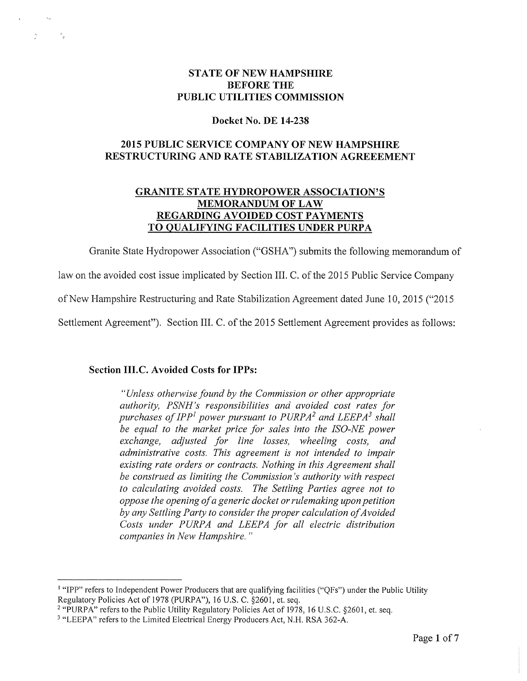#### STATE OF NEW HAMPSHIRE<br>REFORE THE **BEFORE THE** PUBLIC UTILITIES COMMISSION

# Docket No. DE 14-238

## 2015 PUBLIC SERVICE COMPANY OF NEW HAMPSHIRE<br>striictiiring and bate starii ization acpeeeme RESTRUCTURING AND RATE STABILIZATION AGREEEMENT

#### GRANITE STATE HYDROPOWER ASSOCIATION'S MEMORANDUM OF LAW<br>NNC AVOIDED COST RAY REGARDING AVOIDED COST PAYMENTS<br>20 OUAL JEVING EACH TIJES UNDER BURI TO QUALIFYING FACILITIES UNDER PURPA

Granite State Hydropower Association ("GSHA") submits the following memorandum of

law on the avoided cost issue implicated by Section III. C. of the 2015 Public Service Company

of New Hampshire Restructuring and Rate Stabilization Agreement dated June 10, <sup>2015</sup> ("2015

Settlement Agreement"). Section III. C. of the <sup>2015</sup> Settlement Agreement provides as follows:

# Section III.C. Avoided Costs for IPPs:

"Unless otherwise found by the Commission or other appropriate authority, PSNH's responsibilities and avoided cost rates for purchases of IPP<sup>1</sup> power pursuant to PURPA<sup>2</sup> and LEEPA<sup>3</sup> shall be equal to the market price for sales into the ISO-NE power exchange, adjusted for line losses, wheeling costs, and administrative costs. This agreement is not intended to impair existing rate orders or contracts. Nothing in this Agreement shall be construed as limiting the Commission 's authority with respect to calculating avoided costs. The Settling Parties agree not to oppose the opening ofa generic docket or rulemaking upon petition by any Settling Party to consider the proper calculation of Avoided Costs under PURPA and LEEPA for all electric distribution companies in New Hampshire."

<sup>&</sup>quot;IPP" refers to Independent Power Producers that are qualifying facilities ("QFs") under the Public Utility Regulatory Policies Act of 1978 (PURPA"), 16 U.S. C. §2601, et. seq.

<sup>2</sup> "PURPA" refers to the Public Utility Regulatory Policies Act of 1978, <sup>16</sup> U.S.C. §2601, et. seq.

<sup>&</sup>quot;LEEPA" refers to the Limited Electrical Energy Producers Act, N.H. RSA 362-A.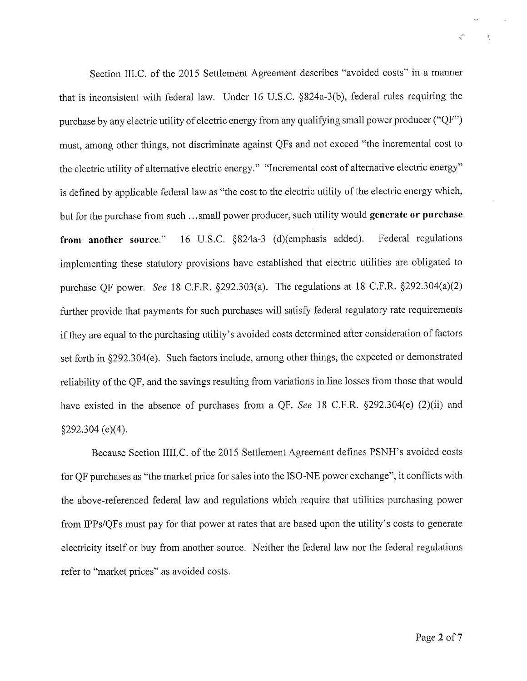Section III.C. of the <sup>2015</sup> Settlement Agreement describes "avoided costs" in <sup>a</sup> manner that is inconsistent with federal law. Under <sup>16</sup> U.S.C. §824a-3(b), federal rules requiring the purchase by any electric utility of electric energy from any qualifying small power producer ("QF") must, among other things, not discriminate against QFs and not exceed "the incremental cost to the electric utility of alternative electric energy." "Incremental cost of alternative electric energy" is defined by applicable federal law as "the cost to the electric utility of the electric energy which, but for the purchase from such ...small power producer, such utility would **generate or purchase** from another source." 16 U.S.C. §824a-3 (d)(emphasis added). Federal regulations implementing these statutory provisions have established that electric utilities are obligated to purchase QF power. *See* 18 C.F.R.  $\S292.303(a)$ . The regulations at 18 C.F.R.  $\S292.304(a)(2)$ further provide that payments for such purchases will satisfy federal regulatory rate requirements if they are equal to the purchasing utility's avoided costs determined after consideration of factors set forth in §292.304(e). Such factors include, among other things, the expected or demonstrated reliability of the QF, and the savings resulting from variations in line losses from those that would have existed in the absence of purchases from a QF. *See* 18 C.F.R.  $\S$ 292.304(e) (2)(ii) and  $\S 292.304$  (e)(4).

Because Section IIII.C. of the <sup>2015</sup> Settlement Agreement defines PSNH's avoided costs for QF purchases as "the market price for sales into the ISO-NE power exchange", it conflicts with the above-referenced federal law and regulations which require that utilities purchasing power from IPPs/QFs must pay for that power at rates that are based upon the utility's costs to generate electricity itself or buy from another source. Neither the federal law nor the federal regulations refer to "market prices" as avoided costs

 $\delta_{\rm c}$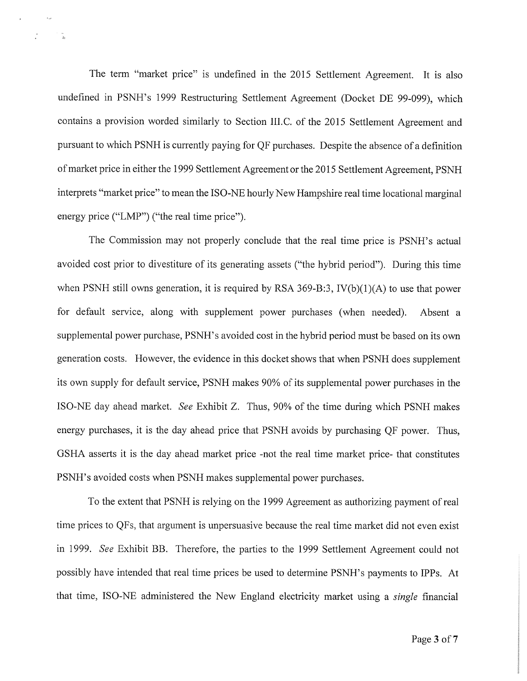The term "market price" is undefined in the <sup>2015</sup> Settlement Agreement. It is also undefined in PSNH's <sup>1999</sup> Restructuring Settlement Agreement (Docket DE 99-099), which contains <sup>a</sup> provision worded similarly to Section II1.C. of the <sup>2015</sup> Settlement Agreement and pursuant to which PSNH is currently paying for QF purchases. Despite the absence of <sup>a</sup> definition of market price in either the <sup>1999</sup> Settlement Agreement or the <sup>2015</sup> Settlement Agreement, PSNHinterprets "market price" to mean the ISO-NE hourly New Hampshire real time locational marginal energy price ("LMP") ("the real time price").

The Commission may not properly conclude that the real time price is PSNH's actual avoided cost prior to divestiture of its generating assets ("the hybrid period"). During this time when PSNH still owns generation, it is required by RSA 369-B:3, IV(b)(1)(A) to use that power for default service, along with supplement power purchases (when needed). Absent <sup>a</sup> supplemental power purchase, PSNH's avoided cost in the hybrid period must be based on its own generation costs. However, the evidence in this docket shows that when PSNH does supplement its own supply for default service, PSNH makes 90% of its supplemental power purchases in the IS0-NE day ahead market. See Exhibit Z. Thus, 90% of the time during which PSNH makes energy purchases, it is the day ahead price that PSNH avoids by purchasing QF power. Thus, GSHA asserts it is the day ahead market price -not the real time market price- that constitutes PSNH's avoided costs when PSNH makes supplemental power purchases.

To the extent that PSNH is relying on the <sup>1999</sup> Agreement as authorizing payment of real time prices to QFs, that argument is unpersuasive because the real time market did not even exist in 1999. See Exhibit BB. Therefore, the parties to the <sup>1999</sup> Settlement Agreement could not possibly have intended that real time prices be used to determine PSNH's payments to IPPs. At that time, ISO-NE administered the New England electricity market using a *single* financial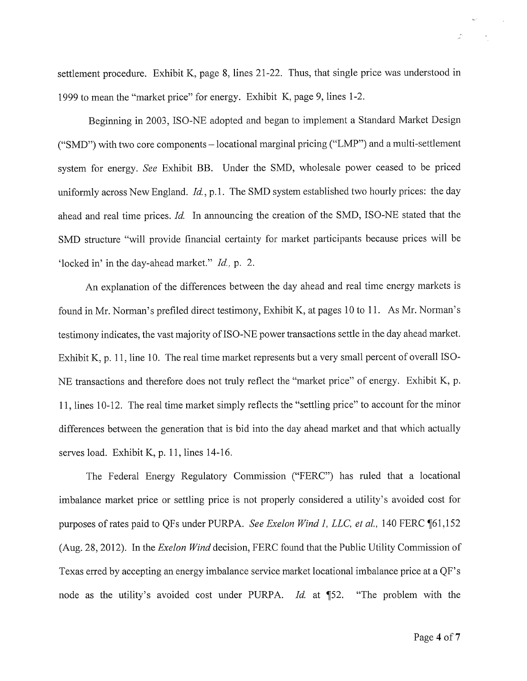settlement procedure. Exhibit K, page 8, lines 21-22. Thus, that single price was understood in 1999 to mean the "market price" for energy. Exhibit K, page 9, lines 1-2.

Beginning in 2003, ISO-NE adopted and began to implement <sup>a</sup> Standard Market Design ("SMD") with two core components — locational marginal pricing ("LMP") and <sup>a</sup> multi-settlement system for energy. See Exhibit BB. Under the SMD, wholesale power ceased to be priced uniformly across New England. Id., p.1. The SMD system established two hourly prices: the day ahead and real time prices. Id. In announcing the creation of the SMD, ISO-NE stated that the SMD structure "will provide financial certainty for market participants because prices will be 'locked in' in the day-ahead market." Id., p. 2.

An explanation of the differences between the day ahead and real time energy markets is found in Mr. Norman's prefiled direct testimony, Exhibit K, at pages <sup>10</sup> to 11. As Mr. Norman's testimony indicates, the vast majority of ISO-NE power transactions settle in the day ahead market. Exhibit K, p. 11, line 10. The real time market represents but <sup>a</sup> very small percent of overall ISO-NE transactions and therefore does not truly reflect the "market price" of energy. Exhibit K, p. 11, lines 10-12. The real time market simply reflects the "settling price" to account for the minor differences between the generation that is bid into the day ahead market and that which actually serves load. Exhibit K, p. 11, lines 14-16.

The Federal Energy Regulatory Commission ("FERC") has ruled that <sup>a</sup> locational imbalance market price or settling price is not properly considered <sup>a</sup> utility's avoided cost for purposes of rates paid to QFs under PURPA. *See Exelon Wind 1, LLC, et al.*, 140 FERC ¶61,152 (Aug. 28, 2012). In the *Exelon Wind* decision, FERC found that the Public Utility Commission of Texas erred by accepting an energy imbalance service market locational imbalance price at <sup>a</sup> QF' <sup>s</sup> node as the utility's avoided cost under PURPA. Id. at ¶52. "The problem "The problem with the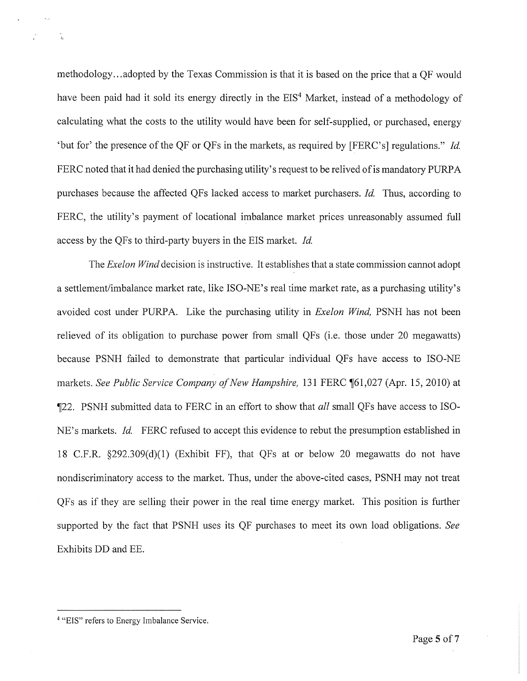methodology.., adopted by the Texas Commission is that it is based on the price that <sup>a</sup> QF would have been paid had it sold its energy directly in the  $\mathrm{EIS}^4$  Market, instead of a methodology of calculating what the costs to the utility would have been for self-supplied, or purchased, energy but for' the presence of the QF or QFs in the markets, as required by [FERC's] regulations." Id<sup>.</sup>  $\rm FERC$  noted that it had denied the purchasing utility's request to be relived of is mandatory  $\rm PURPA$ purchases because the affected QFs lacked access to market purchasers. Id. Thus, according to FERC, the utility's payment of locational imbalance market prices unreasonably assumed full access by the QFs to third-party buyers in the EIS market. Id.

The *Exelon Wind* decision is instructive. It establishes that a state commission cannot adopt a settlement/imbalance market rate, like ISO-NE's real time market rate, as a purchasing utility's avoided cost under PURPA. Like the purchasing utility in *Exelon Wind*, PSNH has not been relieved of its obligation to purchase power from small QFs (i.e. those under <sup>20</sup> megawatts) because PSNH failed to demonstrate that particular individual QFs have access to ISO-NE markets. *See Public Service Company of New Hampshire*, 131 FERC ¶61,027 (Apr. 15, 2010) at ¶22. PSNH submitted data to FERC in an effort to show that *all* small QFs have access to ISO-NE's markets. *Id.* FERC refused to accept this evidence to rebut the presumption established in 18 C.F.R. §292.309(d)(1) (Exhibit FF), that QFs at or below <sup>20</sup> megawatts do not have nondiscriminatory access to the market. Thus, under the above-cited cases, PSNH may not treat QFs as if they are selling their power in the real time energy market. This position is further supported by the fact that PSNH uses its QF purchases to meet its own load obligations. See Exhibits DD and EE.

<sup>&</sup>lt;sup>4</sup> "EIS" refers to Energy Imbalance Service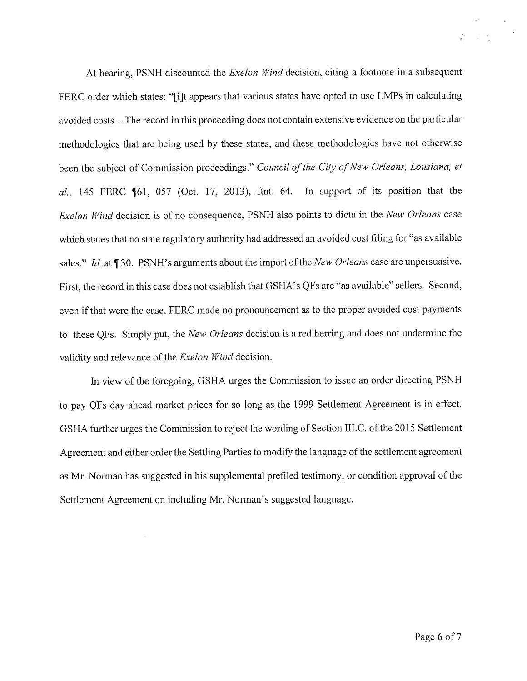At hearing, PSNH discounted the *Exelon Wind* decision, citing a footnote in a subsequent FERC order which states: "[i]t appears that various states have opted to use LMPs in calculating avoided costs.. .The record in this proceeding does not contain extensive evidence on the particular methodologies that are being used by these states, and these methodologies have not otherwise been the subject of Commission proceedings." *Council of the City of New Orleans, Lousiana, et* al., 145 FERC ¶61, 057 (Oct. 17, 2013), ftnt. 64. In support of its position that the Exelon Wind decision is of no consequence, PSNH also points to dicta in the New Orleans case which states that no state regulatory authority had addressed an avoided cost filing for "as available sales." *Id.* at ¶ 30. PSNH's arguments about the import of the *New Orleans* case are unpersuasive. First, the record in this case does not establish that GSHA's QFs are "as available" sellers. Second, even if that were the case, FERC made no pronouncement as to the proper avoided cost payments to these QFs. Simply put, the *New Orleans* decision is a red herring and does not undermine the validity and relevance of the *Exelon Wind* decision

In view of the foregoing, GSHA urges the Commission to issue an order directing PSNH to pay QFs day ahead market prices for so long as the <sup>1999</sup> Settlement Agreement is in effect. GSHA further urges the Commission to reject the wording of Section III.C. of the 2015 Settlement Agreement and either order the Settling Parties to modify the language of the settlement agreement as Mr. Norman has suggested in his supplemental prefiled testimony, or condition approval of the Settlement Agreement on including Mr. Norman's suggested language.

 $\label{eq:2} \frac{1}{\sqrt{2}}\left(\frac{1}{2}\right)^{2} \left(1-\frac{1}{2}\right)^{2}$